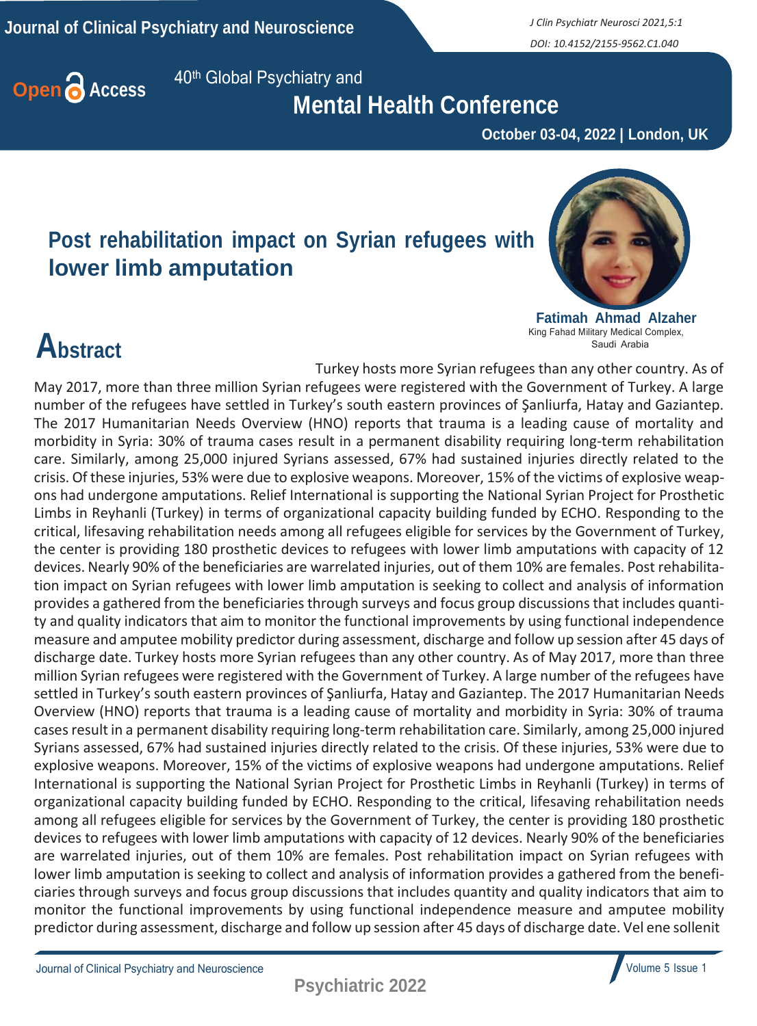*DOI: 10.4152/2155-9562.C1.040*



 **Mental Health Conference**

 **October 03-04, 2022 | London, UK**

### **Post rehabilitation impact on Syrian refugees with lower limb amputation**



**Fatimah Ahmad Alzaher** King Fahad Military Medical Complex, Saudi Arabia

## **Abstract**

Turkey hosts more Syrian refugees than any other country. As of May 2017, more than three million Syrian refugees were registered with the Government of Turkey. A large number of the refugees have settled in Turkey's south eastern provinces of Şanliurfa, Hatay and Gaziantep. The 2017 Humanitarian Needs Overview (HNO) reports that trauma is a leading cause of mortality and morbidity in Syria: 30% of trauma cases result in a permanent disability requiring long-term rehabilitation care. Similarly, among 25,000 injured Syrians assessed, 67% had sustained injuries directly related to the crisis. Of these injuries, 53% were due to explosive weapons. Moreover, 15% of the victims of explosive weapons had undergone amputations. Relief International is supporting the National Syrian Project for Prosthetic Limbs in Reyhanli (Turkey) in terms of organizational capacity building funded by ECHO. Responding to the critical, lifesaving rehabilitation needs among all refugees eligible for services by the Government of Turkey, the center is providing 180 prosthetic devices to refugees with lower limb amputations with capacity of 12 devices. Nearly 90% of the beneficiaries are warrelated injuries, out of them 10% are females. Post rehabilitation impact on Syrian refugees with lower limb amputation is seeking to collect and analysis of information provides a gathered from the beneficiaries through surveys and focus group discussions that includes quantity and quality indicators that aim to monitor the functional improvements by using functional independence measure and amputee mobility predictor during assessment, discharge and follow up session after 45 days of discharge date. Turkey hosts more Syrian refugees than any other country. As of May 2017, more than three million Syrian refugees were registered with the Government of Turkey. A large number of the refugees have settled in Turkey's south eastern provinces of Şanliurfa, Hatay and Gaziantep. The 2017 Humanitarian Needs Overview (HNO) reports that trauma is a leading cause of mortality and morbidity in Syria: 30% of trauma casesresult in a permanent disability requiring long-term rehabilitation care. Similarly, among 25,000 injured Syrians assessed, 67% had sustained injuries directly related to the crisis. Of these injuries, 53% were due to explosive weapons. Moreover, 15% of the victims of explosive weapons had undergone amputations. Relief International is supporting the National Syrian Project for Prosthetic Limbs in Reyhanli (Turkey) in terms of organizational capacity building funded by ECHO. Responding to the critical, lifesaving rehabilitation needs among all refugees eligible for services by the Government of Turkey, the center is providing 180 prosthetic devices to refugees with lower limb amputations with capacity of 12 devices. Nearly 90% of the beneficiaries are warrelated injuries, out of them 10% are females. Post rehabilitation impact on Syrian refugees with lower limb amputation is seeking to collect and analysis of information provides a gathered from the beneficiaries through surveys and focus group discussions that includes quantity and quality indicators that aim to monitor the functional improvements by using functional independence measure and amputee mobility predictor during assessment, discharge and follow up session after 45 days of discharge date. Vel ene sollenit